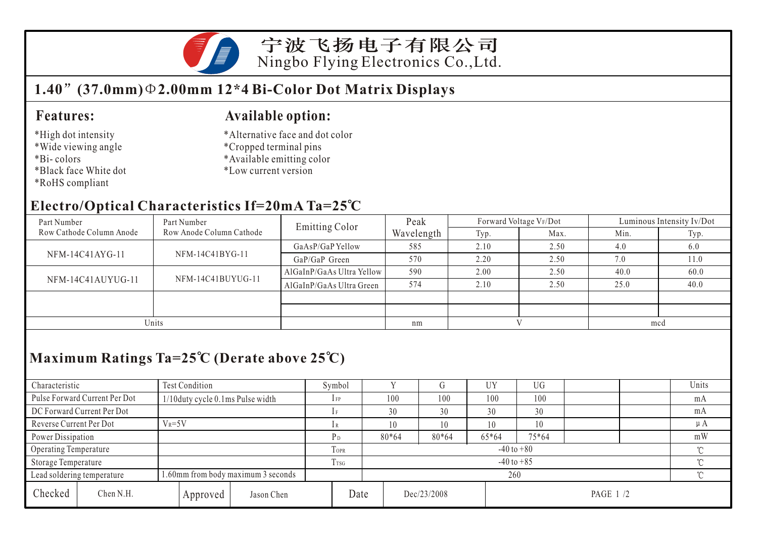

宁波飞扬电子有限公司 Ningbo Flying Electronics Co.,Ltd.

## **1.40 (37.0mm) 2.00mm 12\*4 Bi-Color Dot Matrix Displays**

#### **Features:**

#### \*High dot intensity

- \*Wide viewing angle
- \*Bi- colors
- \*Black face White dot
- \*RoHS compliant

### **Available option:**

- \*Alternative face and dot color
- \*Cropped terminal pins
- \*Available emitting color
- \*Low current version

### **Electro/Optical Characteristics If=20mA Ta=25 C**

| Part Number              | Part Number              | <b>Emitting Color</b>     | Peak       |      | Forward Voltage VF/Dot | Luminous Intensity Iv/Dot |      |  |
|--------------------------|--------------------------|---------------------------|------------|------|------------------------|---------------------------|------|--|
| Row Cathode Column Anode | Row Anode Column Cathode |                           | Wavelength | Typ. | Max.                   | Min.                      | Typ. |  |
|                          |                          | GaAsP/GaP Yellow          | 585        | 2.10 | 2.50                   | 4.0                       | 6.0  |  |
| NFM-14C41AYG-11          | NFM-14C41BYG-11          | GaP/GaP Green             | 570        | 2.20 | 2.50                   | 7.0                       | 11.0 |  |
| NFM-14C41AUYUG-11        |                          | AlGaInP/GaAs Ultra Yellow | 590        | 2.00 | 2.50                   | 40.0                      | 60.0 |  |
|                          | NFM-14C41BUYUG-11        | AlGaInP/GaAs Ultra Green  | 574        | 2.10 | 2.50                   | 25.0                      | 40.0 |  |
|                          |                          |                           |            |      |                        |                           |      |  |
|                          |                          |                           |            |      |                        |                           |      |  |
| Units                    |                          |                           | nm         |      |                        | mcd                       |      |  |

# **Maximum Ratings Ta=25 C (Derate above 25 C)**

| Characteristic                                                   |                               | Test Condition                     |                          |                          | Symbol         |             |     | (ĭ      | UY       | UG       |  |  | Units   |
|------------------------------------------------------------------|-------------------------------|------------------------------------|--------------------------|--------------------------|----------------|-------------|-----|---------|----------|----------|--|--|---------|
|                                                                  | Pulse Forward Current Per Dot | 1/10 duty cycle 0.1 ms Pulse width |                          |                          | $1$ FP         |             | 100 | 100     | 100      | 100      |  |  | mA      |
|                                                                  | DC Forward Current Per Dot    |                                    |                          |                          |                |             | 30  | 30      | 30       | 30       |  |  | mA      |
| Reverse Current Per Dot                                          |                               | $V_R = 5V$                         |                          |                          | 1 R            |             | 10  | 10      | 10       | 10       |  |  | $\mu A$ |
| Power Dissipation                                                |                               |                                    |                          |                          | P <sub>D</sub> | 80*64       |     | $80*64$ | 65*64    | 75*64    |  |  | mW      |
| Operating Temperature                                            |                               |                                    | TOPR                     | $-40$ to $+80$<br>$\sim$ |                |             |     |         |          |          |  |  |         |
| Storage Temperature                                              |                               | T <sub>rsG</sub>                   | $-40$ to $+85$<br>$\sim$ |                          |                |             |     |         |          |          |  |  |         |
| 1.60mm from body maximum 3 seconds<br>Lead soldering temperature |                               |                                    | 260                      |                          |                |             |     |         | $\gamma$ |          |  |  |         |
| Checked                                                          | Chen N.H.                     |                                    | Approved                 | Jason Chen               | Date           | Dec/23/2008 |     |         |          | PAGE 1/2 |  |  |         |